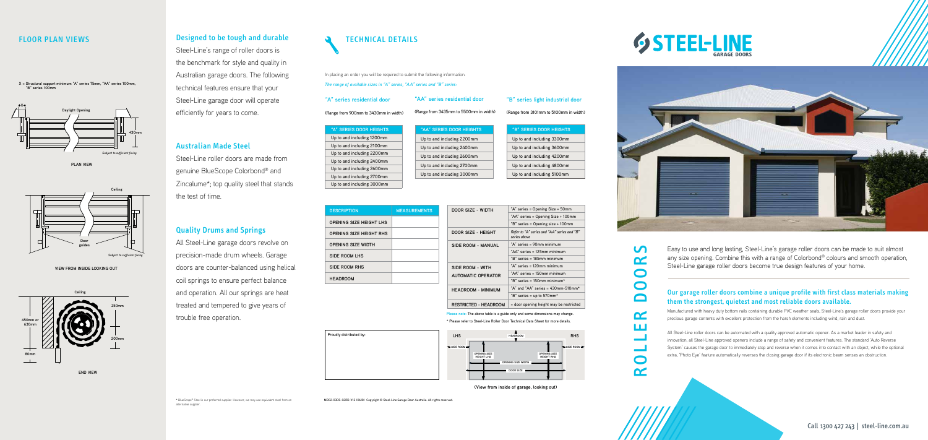Steel-Line's range of roller doors is the benchmark for style and quality in Australian garage doors. The following technical features ensure that your Steel-Line garage door will operate efficiently for years to come.

## Australian Made Steel

Steel-Line roller doors are made from genuine BlueScope Colorbond® and Zincalume\*; top quality steel that stands the test of time.

#### Quality Drums and Springs

All Steel-Line garage doors revolve on precision-made drum wheels. Garage doors are counter-balanced using helical coil springs to ensure perfect balance and operation. All our springs are heat treated and tempered to give years of trouble free operation.

**VIEW FROM INSIDE LOOKING OUT**

**X = Structural support minimum "A" series 75mm, "AA" series 100mm, "B" series 100mm**



**PLAN VIEW**



#### FLOOR PLAN VIEWS **Designed to be tough and durable**



\* BlueScope® Steel is our preferred supplier. However, we may use equivalent steel from an alternative supplier.

In placing an order you will be required to submit the following information. *The range of available sizes in "A" series, "AA" series and "B" series:*

| "A" SERIES DOOR HEIGHTS    |
|----------------------------|
| Up to and including 1200mm |
| Up to and including 2100mm |
| Up to and including 2200mm |
| Up to and including 2400mm |
| Up to and including 2600mm |
| Up to and including 2700mm |
| Up to and including 3000mm |

**"A" series residential door**

(Range from 900mm to 3430mm in width)

| "AA" SERIES DOOR HEIGHTS   | "B" SERIES DOOR HEIGHTS    |
|----------------------------|----------------------------|
| Up to and including 2200mm | Up to and including 3300mm |
| Up to and including 2400mm | Up to and including 3600mm |
| Up to and including 2600mm | Up to and including 4200mm |
| Up to and including 2700mm | Up to and including 4800mm |
| Up to and including 3000mm | Up to and including 5100mm |

**"AA" series residential door**

(Range from 3435mm to 5500mm in width)

| <b>DESCRIPTION</b>             | <b>MEASUREMENTS</b> | DOOR SIZ      |
|--------------------------------|---------------------|---------------|
| <b>OPENING SIZE HEIGHT LHS</b> |                     |               |
| <b>OPENING SIZE HEIGHT RHS</b> |                     | DOOR SIZ      |
| <b>OPENING SIZE WIDTH</b>      |                     | SIDE ROO      |
| SIDE ROOM LHS                  |                     |               |
| SIDE ROOM RHS                  |                     | SIDE ROO      |
| <b>HEADROOM</b>                |                     | <b>AUTOMA</b> |

**RESTRICT** 

**"B" series light industrial door**

(Range from 3101mm to 5100mm in width)

**Please note**: The above table is a guide only and some dimensions may change.

\* Please refer to Steel-Line Roller Door Technical Data Sheet for more details.

**(View from inside of garage, looking out)**





Proudly distributed by:

MD02-03DS-02RD-V12 (0618) Copyright © Steel-Line Garage Door Australia. All rights reserved.



| DOOR SIZE - WIDTH            | "A" series = Opening Size + 50mm                            |  |  |
|------------------------------|-------------------------------------------------------------|--|--|
|                              | "AA" series = Opening Size + 100mm                          |  |  |
|                              | "B" series = Opening size + 100mm                           |  |  |
| DOOR SIZE - HEIGHT           | Refer to "A" series and "AA" series and "B"<br>series above |  |  |
| SIDE ROOM - MANUAL           | "A" series = 90mm minimum                                   |  |  |
|                              | "AA" series = 125mm minimum                                 |  |  |
|                              | "B" series = 185mm minimum                                  |  |  |
| SIDE ROOM - WITH             | "A" series = 120mm minimum                                  |  |  |
| <b>AUTOMATIC OPERATOR</b>    | "AA" series = 150mm minimum                                 |  |  |
|                              | "B" series = $150$ mm minimum*                              |  |  |
| <b>HEADROOM - MINIMUM</b>    | "A" and "AA" series = $430$ mm-510mm*                       |  |  |
|                              | "B" series = up to 570mm*                                   |  |  |
| <b>RESTRICTED - HEADROOM</b> | = door opening height may be restricted                     |  |  |

ROLLER DOORS

 $\alpha$ 

**LLI** 

 $\overline{\phantom{0}}$ 

 $\bullet$  $\alpha$ 

 $\mathbf{U}$ 

 $\mathbf{C}$ 

 $\bullet$ 

 $\bullet$ 

 $\Box$ 



Easy to use and long lasting, Steel-Line's garage roller doors can be made to suit almost any size opening. Combine this with a range of Colorbond® colours and smooth operation, Steel-Line garage roller doors become true design features of your home.

#### Our garage roller doors combine a unique profile with first class materials making them the strongest, quietest and most reliable doors available.

Manufactured with heavy duty bottom rails containing durable PVC weather seals, Steel-Line's garage roller doors provide your precious garage contents with excellent protection from the harsh elements including wind, rain and dust.

All Steel-Line roller doors can be automated with a quality approved automatic opener. As a market leader in safety and innovation, all Steel-Line approved openers include a range of safety and convenient features. The standard 'Auto Reverse System' causes the garage door to immediately stop and reverse when it comes into contact with an object, while the optional extra, 'Photo Eye' feature automatically reverses the closing garage door if its electronic beam senses an obstruction.